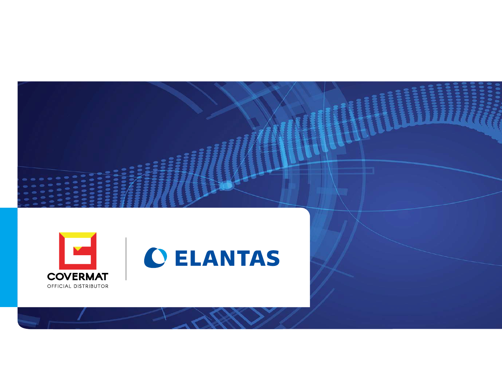

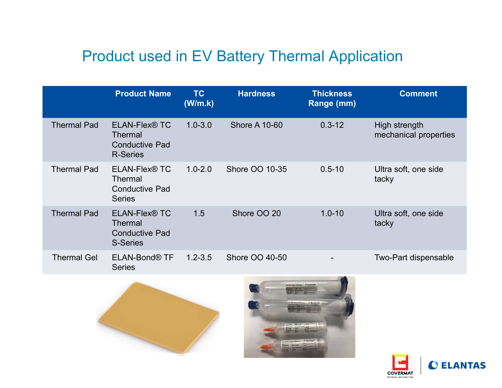# Product used in EV Battery Thermal Application

|                    |                                                                                  |                      | <b>Product used in EV Battery Thermal Application</b> |                                |                                        |
|--------------------|----------------------------------------------------------------------------------|----------------------|-------------------------------------------------------|--------------------------------|----------------------------------------|
|                    | <b>Product Name</b>                                                              | <b>TC</b><br>(W/m.k) | <b>Hardness</b>                                       | <b>Thickness</b><br>Range (mm) | <b>Comment</b>                         |
| <b>Thermal Pad</b> | ELAN-Flex <sup>®</sup> TC<br>Thermal<br><b>Conductive Pad</b><br><b>R-Series</b> | $1.0 - 3.0$          | <b>Shore A 10-60</b>                                  | $0.3 - 12$                     | High strength<br>mechanical properties |
| <b>Thermal Pad</b> | ELAN-Flex <sup>®</sup> TC<br>Thermal<br><b>Conductive Pad</b><br><b>Series</b>   | $1.0 - 2.0$          | Shore OO 10-35                                        | $0.5 - 10$                     | Ultra soft, one side<br>tacky          |
| <b>Thermal Pad</b> | <b>ELAN-Flex® TC</b><br><b>Thermal</b><br><b>Conductive Pad</b><br>S-Series      | 1.5                  | Shore OO 20                                           | $1.0 - 10$                     | Ultra soft, one side<br>tacky          |
| <b>Thermal Gel</b> | ELAN-Bond® TF<br><b>Series</b>                                                   | $1.2 - 3.5$          | Shore OO 40-50                                        |                                | Two-Part dispensable                   |
|                    |                                                                                  |                      |                                                       | LAN-Bond MYXXX C ELANTAL       |                                        |





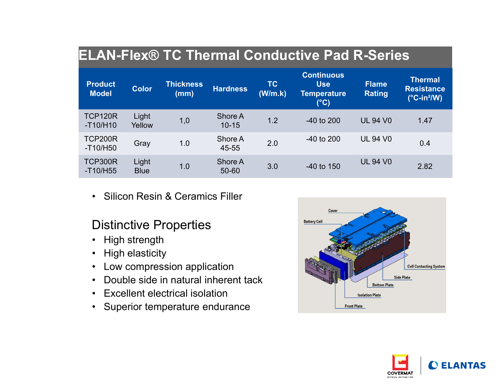# ELAN-Flex® TC Thermal Conductive Pad R-Series

|                                |                                           |                                                                                                                                                                                                                               |                      |               | <b>ELAN-Flex® TC Thermal Conductive Pad R-Series</b>                   |                                                                     |                                                                          |
|--------------------------------|-------------------------------------------|-------------------------------------------------------------------------------------------------------------------------------------------------------------------------------------------------------------------------------|----------------------|---------------|------------------------------------------------------------------------|---------------------------------------------------------------------|--------------------------------------------------------------------------|
| <b>Product</b><br><b>Model</b> | <b>Color</b>                              | <b>Thickness</b><br>(mm)                                                                                                                                                                                                      | <b>Hardness</b>      | TC<br>(W/m.k) | <b>Continuous</b><br><b>Use</b><br><b>Temperature</b><br>$(^{\circ}C)$ | <b>Flame</b><br><b>Rating</b>                                       | <b>Thermal</b><br><b>Resistance</b><br>$(^{\circ}C$ -in <sup>2</sup> /W) |
| <b>TCP120R</b><br>$-T10/H10$   | Light<br>Yellow                           | 1,0                                                                                                                                                                                                                           | Shore A<br>$10 - 15$ | 1.2           | -40 to 200                                                             | <b>UL 94 V0</b>                                                     | 1.47                                                                     |
| <b>TCP200R</b><br>$-T10/H50$   | Gray                                      | 1.0                                                                                                                                                                                                                           | Shore A<br>45-55     | 2.0           | -40 to 200                                                             | <b>UL 94 V0</b>                                                     | 0.4                                                                      |
| <b>TCP300R</b><br>$-T10/H55$   | Light<br><b>Blue</b>                      | 1.0                                                                                                                                                                                                                           | Shore A<br>50-60     | 3.0           | -40 to 150                                                             | <b>UL 94 V0</b>                                                     | 2.82                                                                     |
| $\bullet$<br>$\bullet$         | • High strength<br><b>High elasticity</b> | <b>Silicon Resin &amp; Ceramics Filler</b><br><b>Distinctive Properties</b><br>Low compression application<br>Double side in natural inherent tack<br><b>Excellent electrical isolation</b><br>Superior temperature endurance |                      |               | Cover<br><b>Battery Cell</b>                                           | <b>Bottom Plate</b><br><b>Isolation Plate</b><br><b>Front Plate</b> | <b>Cell Contacting System</b><br><b>Side Plate</b>                       |

- 
- 
- 
- 
- 
- 



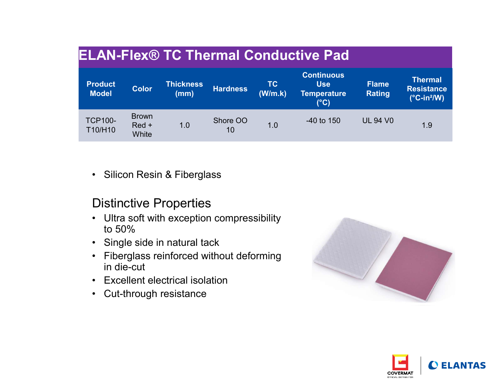| <b>Product</b><br><b>Model</b>                               | <b>Color</b>                     | <b>Thickness</b><br>(mm)                                                                                                                                                                                                                              | <b>Hardness</b> | <b>TC</b><br>(W/m.k) | <b>ELAN-Flex® TC Thermal Conductive Pad</b><br><b>Continuous</b><br><b>Use</b><br><b>Temperature</b><br>$(^{\circ}C)$ | <b>Flame</b><br><b>Rating</b> | <b>Thermal</b><br><b>Resistance</b><br>$(^{\circ}C$ -in <sup>2</sup> /W) |
|--------------------------------------------------------------|----------------------------------|-------------------------------------------------------------------------------------------------------------------------------------------------------------------------------------------------------------------------------------------------------|-----------------|----------------------|-----------------------------------------------------------------------------------------------------------------------|-------------------------------|--------------------------------------------------------------------------|
| <b>TCP100-</b><br>T10/H10                                    | <b>Brown</b><br>$Red +$<br>White | 1.0                                                                                                                                                                                                                                                   | Shore OO<br>10  | 1.0                  | $-40$ to 150                                                                                                          | <b>UL 94 V0</b>               | 1.9                                                                      |
| $\bullet$<br>$\bullet$<br>to $50%$<br>$\bullet$<br>$\bullet$ | in die-cut                       | Silicon Resin & Fiberglass<br><b>Distinctive Properties</b><br>Ultra soft with exception compressibility<br>Single side in natural tack<br>Fiberglass reinforced without deforming<br><b>Excellent electrical isolation</b><br>Cut-through resistance |                 |                      |                                                                                                                       |                               |                                                                          |

- to 50%
- 
- in die-cut vertility<br>
• Silicon Resin & Fiberglass<br>
Distinctive Properties<br>
• Ultra soft with exception compressibility<br>
to 50%<br>
• Single side in natural tack<br>
• Fiberglass reinforced without deforming<br>
in die-cut<br>
• Excellent electr
- 
- 



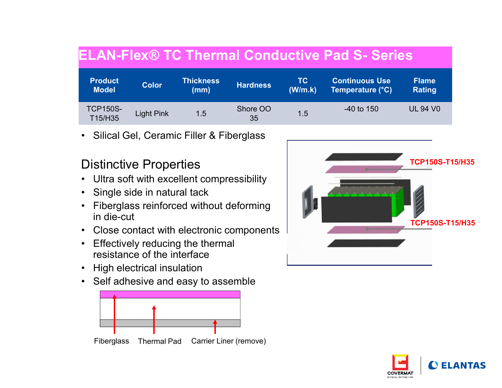| <b>Product</b>                |                             | <b>Thickness</b>                            |                                            | <b>TC</b> | <b>ELAN-Flex® TC Thermal Conductive Pad S- Series</b><br><b>Continuous Use</b> | <b>Flame</b>           |
|-------------------------------|-----------------------------|---------------------------------------------|--------------------------------------------|-----------|--------------------------------------------------------------------------------|------------------------|
| <b>Model</b>                  | <b>Color</b>                | (mm)                                        | <b>Hardness</b>                            | (W/m.k)   | Temperature (°C)                                                               | <b>Rating</b>          |
| <b>TCP150S-</b><br>T15/H35    | <b>Light Pink</b>           | 1.5                                         | Shore OO<br>35                             | 1.5       | -40 to 150                                                                     | <b>UL 94 V0</b>        |
|                               |                             | • Silical Gel, Ceramic Filler & Fiberglass  |                                            |           |                                                                                |                        |
|                               |                             |                                             |                                            |           |                                                                                | <b>TCP150S-T15/H35</b> |
|                               |                             |                                             |                                            |           |                                                                                |                        |
| <b>Distinctive Properties</b> |                             | • Ultra soft with excellent compressibility |                                            |           |                                                                                |                        |
| • Single side in natural tack |                             |                                             |                                            |           | <u> Anglick Anglick Anglick</u>                                                |                        |
| in die-cut                    |                             | • Fiberglass reinforced without deforming   |                                            |           |                                                                                |                        |
|                               |                             |                                             | • Close contact with electronic components |           |                                                                                | <b>TCP150S-T15/H35</b> |
|                               |                             | • Effectively reducing the thermal          |                                            |           |                                                                                |                        |
| • High electrical insulation  | resistance of the interface |                                             |                                            |           |                                                                                |                        |

- 
- 
- in die-cut
- 
- resistance of the interface
- 
- 





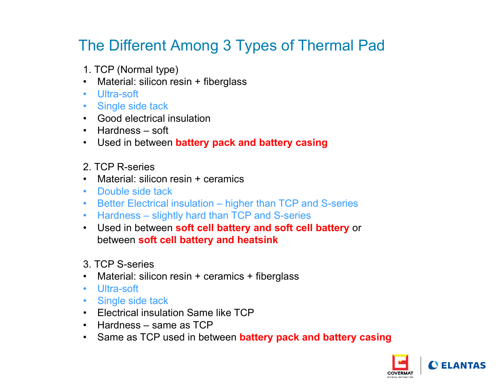# The Different Among 3 Types of Thermal Pad The Different Among 3 Types of<br>
1. TCP (Normal type)<br>
• Material: silicon resin + fiberglass<br>
• Ultra-soft<br>
• Single side tack Fhe Different Among 3 Types of Therma<br>1. TCP (Normal type)<br>• Material: silicon resin + fiberglass<br>• Ultra-soft<br>• Single side tack<br>• Good electrical insulation The Different Among 3 Types of T<br>
1. TCP (Normal type)<br>• Material: silicon resin + fiberglass<br>• Ultra-soft<br>• Single side tack<br>• Good electrical insulation<br>• Hardness – soft The Different Among 3 Types of T<br>
1. TCP (Normal type)<br>
• Material: silicon resin + fiberglass<br>
• Ultra-soft<br>
• Single side tack<br>
• Good electrical insulation<br>
• Hardness – soft<br>
• Used in between **battery pack and battery** The Different Among 3 Types of The<br>1. TCP (Normal type)<br>• Material: silicon resin + fiberglass<br>• Ultra-soft<br>• Single side tack<br>• Good electrical insulation<br>• Hardness – soft<br>• Used in between **battery pack and battery casi** The Different Among 3 Types of Thermal<br>
1. TCP (Normal type)<br>
• Material: silicon resin + fiberglass<br>
• Ultra-soft<br>
• Single side tack<br>
• Good electrical insulation<br>
• Hardness – soft<br>
• Used in between **battery pack and b** Fhe Different Among 3 Types of Thermal Pad<br>1. TCP (Normal type)<br>• Material: silicon resin + fiberglass<br>• Ultra-soft<br>• Single side tack<br>• Good electrical insulation<br>• Hardness – soft<br>• Used in between **battery pack and batt** The Different Among 3 Types of<br>
1. TCP (Normal type)<br>
• Material: silicon resin + fiberglass<br>
• Ultra-soft<br>
• Good electrical insulation<br>
• Hardness – soft<br>
• Used in between **battery pack and battery c**<br>
2. TCP R-series<br> Fhe Different Among 3 Types of Therm<br>
1. TCP (Normal type)<br>
• Material: silicon resin + fiberglass<br>
• Ultra-soft<br>
• Single side tack<br>
• Good electrical insulation<br>
• Hardness – soft<br>
• Used in between **battery pack and bat** The Different Among 3 Types of T<br>
1. TCP (Normal type)<br>
• Material: silicon resin + fiberglass<br>
• Ultra-soft<br>
• Good electrical insulation<br>
• Hardness – soft<br>
• Used in between **battery pack and battery ca**<br>
2. TCP R-serie

- 
- 
- 
- 
- 
- 
- 
- 
- 
- 
- 
- 
- Fhe Different Among 3 Types of Thermal Pad<br>1. TCP (Normal type)<br>• Material: silicon resin + fiberglass<br>• Ultra-soft<br>• Single side tack<br>• Good electrical insulation<br>• Hardness soft<br>• Used in between battery pack and batte 1. TCP (Normal type)<br>
• Material: silicon resin + fiberglass<br>
• Ultra-soft<br>
• Good electrical insulation<br>
• Hardness – soft<br>
• Used in between **battery pack and battery casing**<br>
2. TCP R-series<br>
• Material: silicon resin + 1. TCP (Normal type)<br>
• Material: silicon resin + fiberglass<br>
• Ultra-soft<br>
• Single side tack<br>
• Good electrical insulation<br>
• Hardness – soft<br>
• Used in between battery pack and battery casing<br>
2. TCP R-series<br>
• Materia between soft cell battery and heatsink • Single side tack<br>
• Good electrical insulation<br>
• Hardness – soft<br>
• Used in between **battery pack and battery c**<br>
2. TCP R-series<br>
• Material: silicon resin + ceramics<br>
• Double side tack<br>
• Better Electrical insulatio • Good electrical insulation<br>• Hardness – soft<br>• Used in between **battery pack and battery casing**<br>2. TCP R-series<br>• Material: silicon resin + ceramics<br>• Double side tack<br>• Better Electrical insulation – higher than TCP an • Hardness – soft<br>
• Used in between **battery pack and battery ca**<br>
2. TCP R-series<br>
• Material: silicon resin + ceramics<br>
• Double side tack<br>
• Better Electrical insulation – higher than TCP and<br>
• Hardness – slightly har • Used in between **battery pack and battery ca**<br>
2. TCP R-series<br>
• Material: silicon resin + ceramics<br>
• Double side tack<br>
• Better Electrical insulation – higher than TCP and<br>
• Hardness – slightly hard than TCP and S-se 1992 TCP R-series<br>
• Material: silicon resin + ceramics<br>
• Double side tack<br>
• Better Electrical insulation – higher than TCP and S-series<br>
• Hardness – slightly hard than TCP and S-series<br>
• Used in between **soft cell bat** 2. TCP R-series<br>
• Material: silicon resin + ceramics<br>
• Double side tack<br>
• Better Electrical insulation – higher than TCP and S-series<br>
• Hardness – slightly hard than TCP and S-series<br>
• Used in between **soft cell batte** • Material: silicon resin + ceramics<br>
• Double side tack<br>
• Better Electrical insulation – higher than TCP and S-series<br>
• Hardness – slightly hard than TCP and S-series<br>
• Used in between **soft cell battery and soft cell**
- 
- 
- 
- 
- 
- 
- 

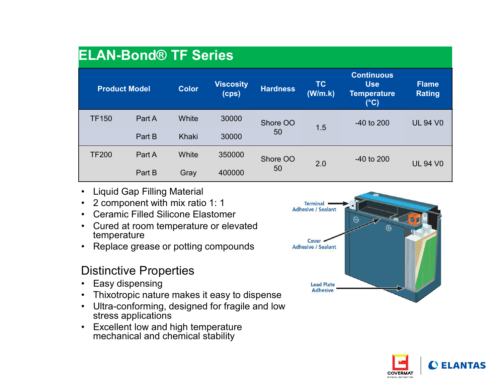|              | <b>ELAN-Bond® TF Series</b><br><b>Product Model</b>                                                                                                | <b>Color</b> | <b>Viscosity</b><br>(cps)                                                                      | <b>Hardness</b> | TC<br>(W/m.k)                                                                      | <b>Continuous</b><br><b>Use</b><br><b>Temperature</b><br>$(^{\circ}C)$ | <b>Flame</b><br><b>Rating</b> |
|--------------|----------------------------------------------------------------------------------------------------------------------------------------------------|--------------|------------------------------------------------------------------------------------------------|-----------------|------------------------------------------------------------------------------------|------------------------------------------------------------------------|-------------------------------|
| <b>TF150</b> | Part A                                                                                                                                             | White        | 30000                                                                                          | Shore OO        | 1.5                                                                                | -40 to 200                                                             | <b>UL 94 V0</b>               |
|              | Part B                                                                                                                                             | Khaki        | 30000                                                                                          | 50              |                                                                                    |                                                                        |                               |
| <b>TF200</b> | Part A                                                                                                                                             | White        | 350000                                                                                         | Shore OO        |                                                                                    | -40 to 200                                                             |                               |
|              | Part B                                                                                                                                             | Gray         | 400000                                                                                         | 50              | 2.0                                                                                |                                                                        | <b>UL 94 V0</b>               |
| temperature  | Liquid Gap Filling Material<br>2 component with mix ratio 1: 1<br><b>Ceramic Filled Silicone Elastomer</b>                                         |              | Cured at room temperature or elevated<br>Replace grease or potting compounds                   |                 | <b>Terminal</b><br><b>Adhesive / Sealant</b><br>Cover<br><b>Adhesive / Sealant</b> | $\Theta$<br>$\oplus$                                                   |                               |
| $\bullet$    | <b>Distinctive Properties</b><br>Easy dispensing<br>stress applications<br>Excellent low and high temperature<br>mechanical and chemical stability |              | Thixotropic nature makes it easy to dispense<br>Ultra-conforming, designed for fragile and low |                 | <b>Lead Plate</b><br><b>Adhesive</b>                                               |                                                                        |                               |

- 
- 
- 
- temperature
- 

- 
- 
- Ultra-conforming, designed for fragile and low<br>stress applications
- Excellent low and high temperature<br>mechanical and chemical stability



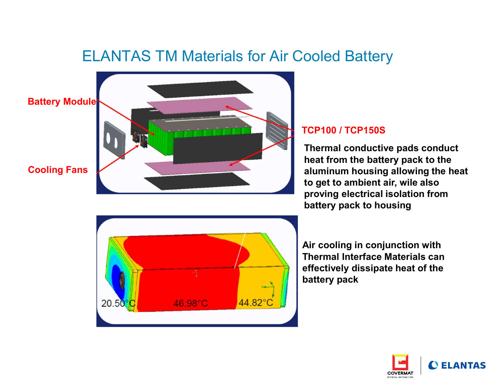# ELANTAS TM Materials for Air Cooled Battery





#### Cooling Fans

# TCP100 / TCP150S

Thermal conductive pads conduct heat from the battery pack to the aluminum housing allowing the heat to get to ambient air, wile also proving electrical isolation from battery pack to housing



Air cooling in conjunction with Thermal Interface Materials can effectively dissipate heat of the battery pack

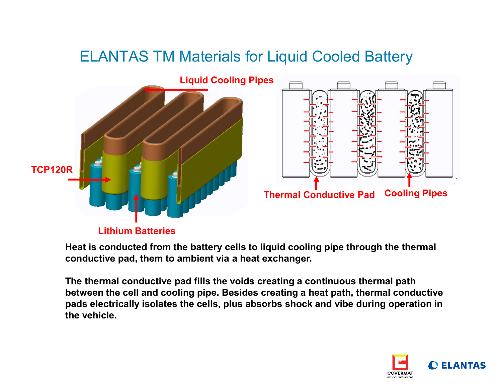# ELANTAS TM Materials for Liquid Cooled Battery



Heat is conducted from the battery cells to liquid cooling pipe through the thermal conductive pad, them to ambient via a heat exchanger.

The thermal conductive pad fills the voids creating a continuous thermal path between the cell and cooling pipe. Besides creating a heat path, thermal conductive pads electrically isolates the cells, plus absorbs shock and vibe during operation in the vehicle.

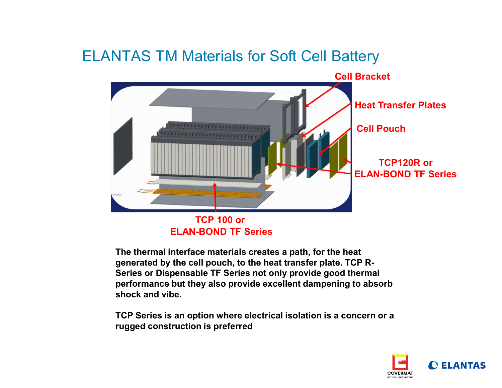# ELANTAS TM Materials for Soft Cell Battery



ELAN-BOND TF Series

The thermal interface materials creates a path, for the heat generated by the cell pouch, to the heat transfer plate. TCP R-Series or Dispensable TF Series not only provide good thermal performance but they also provide excellent dampening to absorb shock and vibe.

TCP Series is an option where electrical isolation is a concern or a rugged construction is preferred